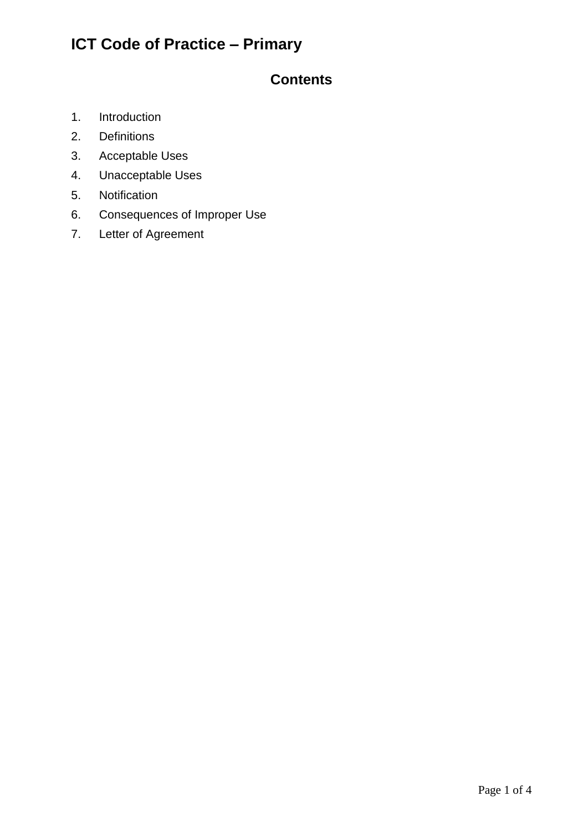#### **Contents**

- 1. Introduction
- 2. Definitions
- 3. Acceptable Uses
- 4. Unacceptable Uses
- 5. Notification
- 6. Consequences of Improper Use
- 7. Letter of Agreement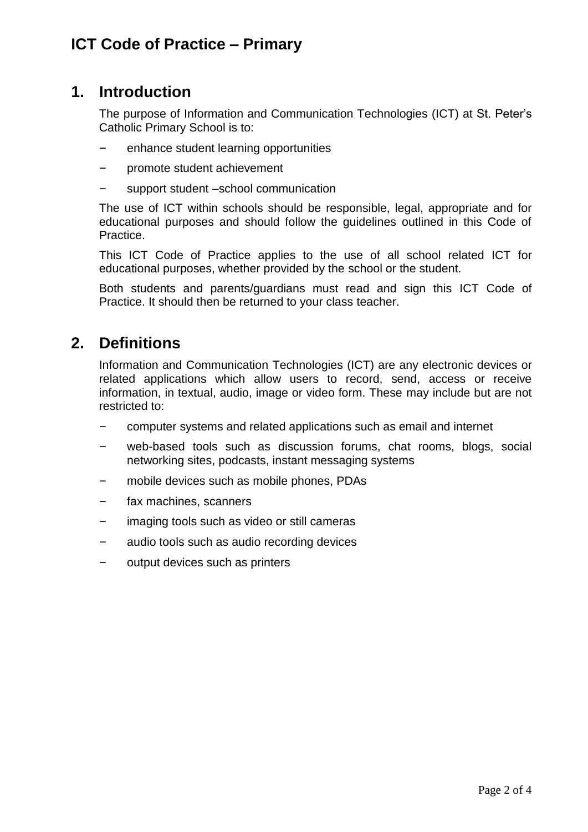### **1. Introduction**

The purpose of Information and Communication Technologies (ICT) at St. Peter's Catholic Primary School is to:

- enhance student learning opportunities
- promote student achievement
- support student –school communication

The use of ICT within schools should be responsible, legal, appropriate and for educational purposes and should follow the guidelines outlined in this Code of Practice.

This ICT Code of Practice applies to the use of all school related ICT for educational purposes, whether provided by the school or the student.

Both students and parents/guardians must read and sign this ICT Code of Practice. It should then be returned to your class teacher.

# **2. Definitions**

Information and Communication Technologies (ICT) are any electronic devices or related applications which allow users to record, send, access or receive information, in textual, audio, image or video form. These may include but are not restricted to:

- computer systems and related applications such as email and internet
- web-based tools such as discussion forums, chat rooms, blogs, social networking sites, podcasts, instant messaging systems
- mobile devices such as mobile phones, PDAs
- fax machines, scanners
- imaging tools such as video or still cameras
- audio tools such as audio recording devices
- output devices such as printers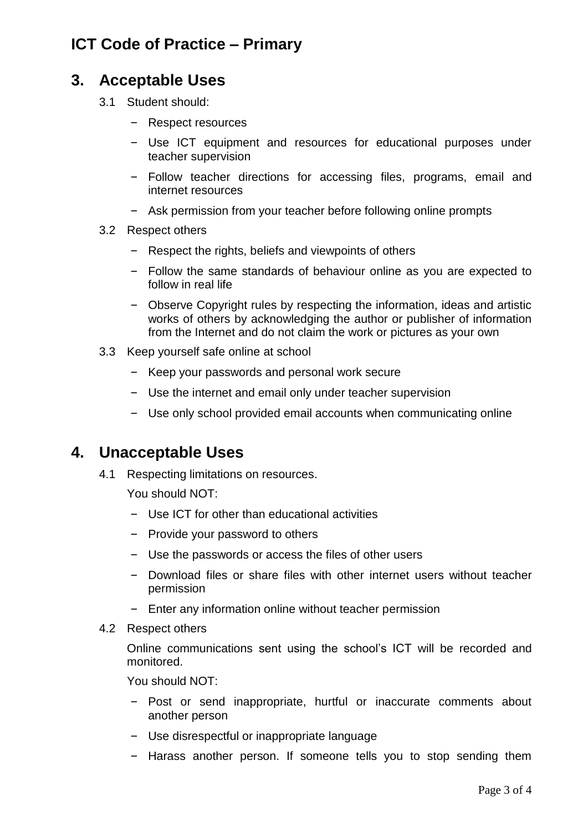### **3. Acceptable Uses**

- 3.1 Student should:
	- Respect resources
	- Use ICT equipment and resources for educational purposes under teacher supervision
	- Follow teacher directions for accessing files, programs, email and internet resources
	- Ask permission from your teacher before following online prompts
- 3.2 Respect others
	- Respect the rights, beliefs and viewpoints of others
	- Follow the same standards of behaviour online as you are expected to follow in real life
	- Observe Copyright rules by respecting the information, ideas and artistic works of others by acknowledging the author or publisher of information from the Internet and do not claim the work or pictures as your own
- 3.3 Keep yourself safe online at school
	- Keep your passwords and personal work secure
	- Use the internet and email only under teacher supervision
	- Use only school provided email accounts when communicating online

#### **4. Unacceptable Uses**

4.1 Respecting limitations on resources.

You should NOT:

- Use ICT for other than educational activities
- Provide your password to others
- Use the passwords or access the files of other users
- Download files or share files with other internet users without teacher permission
- Enter any information online without teacher permission
- 4.2 Respect others

Online communications sent using the school's ICT will be recorded and monitored.

You should NOT:

- Post or send inappropriate, hurtful or inaccurate comments about another person
- Use disrespectful or inappropriate language
- Harass another person. If someone tells you to stop sending them